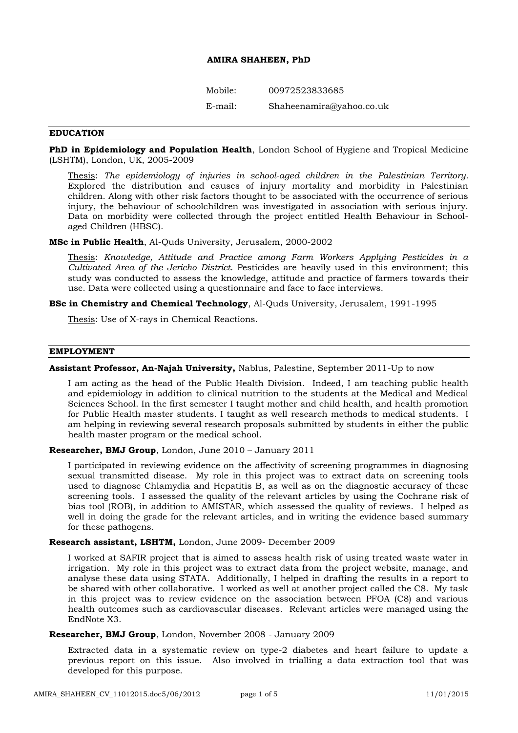# **AMIRA SHAHEEN, PhD**

Mobile: 00972523833685

E-mail: Shaheenamira@yahoo.co.uk

### **EDUCATION**

**PhD in Epidemiology and Population Health**, London School of Hygiene and Tropical Medicine (LSHTM), London, UK, 2005-2009

Thesis: *The epidemiology of injuries in school-aged children in the Palestinian Territory.* Explored the distribution and causes of injury mortality and morbidity in Palestinian children. Along with other risk factors thought to be associated with the occurrence of serious injury, the behaviour of schoolchildren was investigated in association with serious injury. Data on morbidity were collected through the project entitled Health Behaviour in Schoolaged Children (HBSC).

**MSc in Public Health**, Al-Quds University, Jerusalem, 2000-2002

Thesis: *Knowledge, Attitude and Practice among Farm Workers Applying Pesticides in a Cultivated Area of the Jericho District*. Pesticides are heavily used in this environment; this study was conducted to assess the knowledge, attitude and practice of farmers towards their use. Data were collected using a questionnaire and face to face interviews.

**BSc in Chemistry and Chemical Technology**, Al-Quds University, Jerusalem, 1991-1995

Thesis: Use of X-rays in Chemical Reactions.

### **EMPLOYMENT**

## **Assistant Professor, An-Najah University,** Nablus, Palestine, September 2011-Up to now

I am acting as the head of the Public Health Division. Indeed, I am teaching public health and epidemiology in addition to clinical nutrition to the students at the Medical and Medical Sciences School. In the first semester I taught mother and child health, and health promotion for Public Health master students. I taught as well research methods to medical students. I am helping in reviewing several research proposals submitted by students in either the public health master program or the medical school.

# **Researcher, BMJ Group**, London, June 2010 – January 2011

I participated in reviewing evidence on the affectivity of screening programmes in diagnosing sexual transmitted disease. My role in this project was to extract data on screening tools used to diagnose Chlamydia and Hepatitis B, as well as on the diagnostic accuracy of these screening tools. I assessed the quality of the relevant articles by using the Cochrane risk of bias tool (ROB), in addition to AMISTAR, which assessed the quality of reviews. I helped as well in doing the grade for the relevant articles, and in writing the evidence based summary for these pathogens.

### **Research assistant, LSHTM,** London, June 2009- December 2009

I worked at SAFIR project that is aimed to assess health risk of using treated waste water in irrigation. My role in this project was to extract data from the project website, manage, and analyse these data using STATA. Additionally, I helped in drafting the results in a report to be shared with other collaborative. I worked as well at another project called the C8. My task in this project was to review evidence on the association between PFOA (C8) and various health outcomes such as cardiovascular diseases. Relevant articles were managed using the EndNote X3.

### **Researcher, BMJ Group**, London, November 2008 - January 2009

Extracted data in a systematic review on type-2 diabetes and heart failure to update a previous report on this issue. Also involved in trialling a data extraction tool that was developed for this purpose.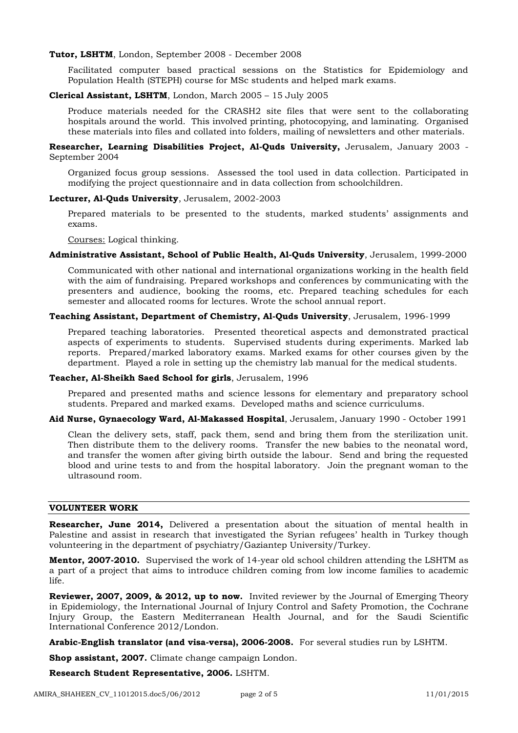### **Tutor, LSHTM**, London, September 2008 - December 2008

Facilitated computer based practical sessions on the Statistics for Epidemiology and Population Health (STEPH) course for MSc students and helped mark exams.

### **Clerical Assistant, LSHTM**, London, March 2005 – 15 July 2005

Produce materials needed for the CRASH2 site files that were sent to the collaborating hospitals around the world. This involved printing, photocopying, and laminating. Organised these materials into files and collated into folders, mailing of newsletters and other materials.

**Researcher, Learning Disabilities Project, Al-Quds University,** Jerusalem, January 2003 - September 2004

Organized focus group sessions. Assessed the tool used in data collection. Participated in modifying the project questionnaire and in data collection from schoolchildren.

### **Lecturer, Al-Quds University**, Jerusalem, 2002-2003

Prepared materials to be presented to the students, marked students' assignments and exams.

Courses: Logical thinking.

# **Administrative Assistant, School of Public Health, Al-Quds University**, Jerusalem, 1999-2000

Communicated with other national and international organizations working in the health field with the aim of fundraising. Prepared workshops and conferences by communicating with the presenters and audience, booking the rooms, etc. Prepared teaching schedules for each semester and allocated rooms for lectures. Wrote the school annual report.

### **Teaching Assistant, Department of Chemistry, Al-Quds University**, Jerusalem, 1996-1999

Prepared teaching laboratories. Presented theoretical aspects and demonstrated practical aspects of experiments to students. Supervised students during experiments. Marked lab reports. Prepared/marked laboratory exams. Marked exams for other courses given by the department. Played a role in setting up the chemistry lab manual for the medical students.

### **Teacher, Al-Sheikh Saed School for girls**, Jerusalem, 1996

Prepared and presented maths and science lessons for elementary and preparatory school students. Prepared and marked exams. Developed maths and science curriculums.

## **Aid Nurse, Gynaecology Ward, Al-Makassed Hospital**, Jerusalem, January 1990 - October 1991

Clean the delivery sets, staff, pack them, send and bring them from the sterilization unit. Then distribute them to the delivery rooms. Transfer the new babies to the neonatal word, and transfer the women after giving birth outside the labour. Send and bring the requested blood and urine tests to and from the hospital laboratory. Join the pregnant woman to the ultrasound room.

# **VOLUNTEER WORK**

**Researcher, June 2014,** Delivered a presentation about the situation of mental health in Palestine and assist in research that investigated the Syrian refugees' health in Turkey though volunteering in the department of psychiatry/Gaziantep University/Turkey.

**Mentor, 2007-2010.** Supervised the work of 14-year old school children attending the LSHTM as a part of a project that aims to introduce children coming from low income families to academic life.

**Reviewer, 2007, 2009, & 2012, up to now.** Invited reviewer by the Journal of Emerging Theory in Epidemiology, the International Journal of Injury Control and Safety Promotion, the Cochrane Injury Group, the Eastern Mediterranean Health Journal, and for the Saudi Scientific International Conference 2012/London.

**Arabic-English translator (and visa-versa), 2006-2008.** For several studies run by LSHTM.

**Shop assistant, 2007.** Climate change campaign London.

**Research Student Representative, 2006.** LSHTM.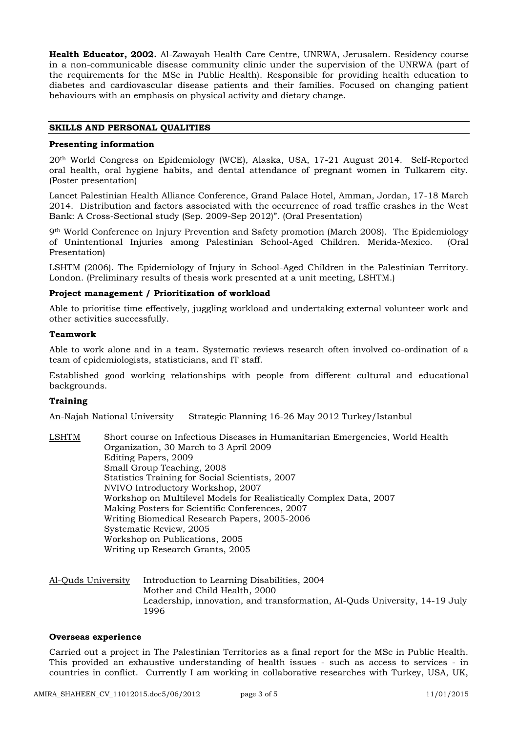**Health Educator, 2002.** Al-Zawayah Health Care Centre, UNRWA, Jerusalem. Residency course in a non-communicable disease community clinic under the supervision of the UNRWA (part of the requirements for the MSc in Public Health). Responsible for providing health education to diabetes and cardiovascular disease patients and their families. Focused on changing patient behaviours with an emphasis on physical activity and dietary change.

# **SKILLS AND PERSONAL QUALITIES**

## **Presenting information**

20th World Congress on Epidemiology (WCE), Alaska, USA, 17-21 August 2014. Self-Reported oral health, oral hygiene habits, and dental attendance of pregnant women in Tulkarem city. (Poster presentation)

Lancet Palestinian Health Alliance Conference, Grand Palace Hotel, Amman, Jordan, 17-18 March 2014. Distribution and factors associated with the occurrence of road traffic crashes in the West Bank: A Cross-Sectional study (Sep. 2009-Sep 2012)". (Oral Presentation)

9th World Conference on Injury Prevention and Safety promotion (March 2008). The Epidemiology of Unintentional Injuries among Palestinian School-Aged Children. Merida-Mexico. (Oral Presentation)

LSHTM (2006). The Epidemiology of Injury in School-Aged Children in the Palestinian Territory. London. (Preliminary results of thesis work presented at a unit meeting, LSHTM.)

## **Project management / Prioritization of workload**

Able to prioritise time effectively, juggling workload and undertaking external volunteer work and other activities successfully.

## **Teamwork**

Able to work alone and in a team. Systematic reviews research often involved co-ordination of a team of epidemiologists, statisticians, and IT staff.

Established good working relationships with people from different cultural and educational backgrounds.

## **Training**

An-Najah National University Strategic Planning 16-26 May 2012 Turkey/Istanbul

- LSHTM Short course on Infectious Diseases in Humanitarian Emergencies, World Health Organization, 30 March to 3 April 2009 Editing Papers, 2009 Small Group Teaching, 2008 Statistics Training for Social Scientists, 2007 NVIVO Introductory Workshop, 2007 Workshop on Multilevel Models for Realistically Complex Data, 2007 Making Posters for Scientific Conferences, 2007 Writing Biomedical Research Papers, 2005-2006 Systematic Review, 2005 Workshop on Publications, 2005 Writing up Research Grants, 2005
- Al-Quds University Introduction to Learning Disabilities, 2004 Mother and Child Health, 2000 Leadership, innovation, and transformation, Al-Quds University, 14-19 July 1996

## **Overseas experience**

Carried out a project in The Palestinian Territories as a final report for the MSc in Public Health. This provided an exhaustive understanding of health issues - such as access to services - in countries in conflict. Currently I am working in collaborative researches with Turkey, USA, UK,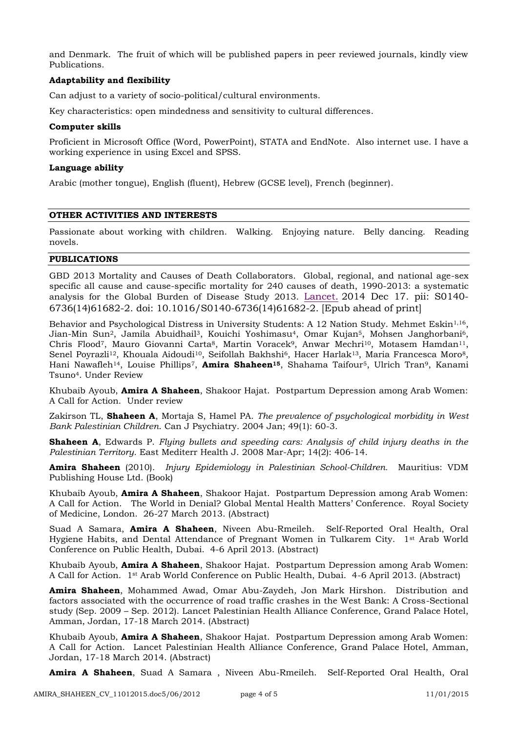and Denmark. The fruit of which will be published papers in peer reviewed journals, kindly view Publications.

# **Adaptability and flexibility**

Can adjust to a variety of socio-political/cultural environments.

Key characteristics: open mindedness and sensitivity to cultural differences.

# **Computer skills**

Proficient in Microsoft Office (Word, PowerPoint), STATA and EndNote. Also internet use. I have a working experience in using Excel and SPSS.

# **Language ability**

Arabic (mother tongue), English (fluent), Hebrew (GCSE level), French (beginner).

## **OTHER ACTIVITIES AND INTERESTS**

Passionate about working with children. Walking. Enjoying nature. Belly dancing. Reading novels.

# **PUBLICATIONS**

GBD 2013 Mortality and Causes of Death Collaborators. Global, regional, and national age-sex specific all cause and cause-specific mortality for 240 causes of death, 1990-2013: a systematic analysis for the Global Burden of Disease Study 2013. [Lancet.](http://www.ncbi.nlm.nih.gov/pubmed/?term=Global%2C+regional%2C+and+national+age%E2%80%93sex+specifi+c+all-cause+and+cause-specifi+c+mortality+for+240+causes+of+death%2C+1990%E2%80%932013) 2014 Dec 17. pii: S0140- 6736(14)61682-2. doi: 10.1016/S0140-6736(14)61682-2. [Epub ahead of print]

Behavior and Psychological Distress in University Students: A 12 Nation Study. Mehmet Eskin<sup>1,16</sup>, Jian-Min Sun<sup>2</sup>, Jamila Abuidhail<sup>3</sup>, Kouichi Yoshimasu<sup>4</sup>, Omar Kujan<sup>5</sup>, Mohsen Janghorbani<sup>6</sup>, Chris Flood<sup>7</sup>, Mauro Giovanni Carta<sup>8</sup>, Martin Voracek<sup>9</sup>, Anwar Mechri<sup>10</sup>, Motasem Hamdan<sup>11</sup>, Senel Poyrazli<sup>12</sup>, Khouala Aidoudi<sup>10</sup>, Seifollah Bakhshi<sup>6</sup>, Hacer Harlak<sup>13</sup>, Maria Francesca Moro<sup>8</sup>, Hani Nawafleh14, Louise Phillips7, **Amira Shaheen15**, Shahama Taifour5, Ulrich Tran9, Kanami Tsuno4. Under Review

Khubaib Ayoub, **Amira A Shaheen**, Shakoor Hajat. Postpartum Depression among Arab Women: A Call for Action. Under review

Zakirson TL, **Shaheen A**, Mortaja S, Hamel PA. *The prevalence of psychological morbidity in West Bank Palestinian Children*. Can J Psychiatry. 2004 Jan; 49(1): 60-3.

**Shaheen A**, Edwards P. *Flying bullets and speeding cars: Analysis of child injury deaths in the Palestinian Territory*. East Mediterr Health J. 2008 Mar-Apr; 14(2): 406-14.

**Amira Shaheen** (2010). *Injury Epidemiology in Palestinian School-Children.* Mauritius: VDM Publishing House Ltd. (Book)

Khubaib Ayoub, **Amira A Shaheen**, Shakoor Hajat. Postpartum Depression among Arab Women: A Call for Action. The World in Denial? Global Mental Health Matters' Conference. Royal Society of Medicine, London. 26-27 March 2013. (Abstract)

Suad A Samara, **Amira A Shaheen**, Niveen Abu-Rmeileh. Self-Reported Oral Health, Oral Hygiene Habits, and Dental Attendance of Pregnant Women in Tulkarem City. 1st Arab World Conference on Public Health, Dubai. 4-6 April 2013. (Abstract)

Khubaib Ayoub, **Amira A Shaheen**, Shakoor Hajat. Postpartum Depression among Arab Women: A Call for Action. 1st Arab World Conference on Public Health, Dubai. 4-6 April 2013. (Abstract)

**Amira Shaheen**, Mohammed Awad, Omar Abu-Zaydeh, Jon Mark Hirshon. Distribution and factors associated with the occurrence of road traffic crashes in the West Bank: A Cross-Sectional study (Sep. 2009 – Sep. 2012). Lancet Palestinian Health Alliance Conference, Grand Palace Hotel, Amman, Jordan, 17-18 March 2014. (Abstract)

Khubaib Ayoub, **Amira A Shaheen**, Shakoor Hajat. Postpartum Depression among Arab Women: A Call for Action. Lancet Palestinian Health Alliance Conference, Grand Palace Hotel, Amman, Jordan, 17-18 March 2014. (Abstract)

**Amira A Shaheen**, Suad A Samara , Niveen Abu-Rmeileh. Self-Reported Oral Health, Oral